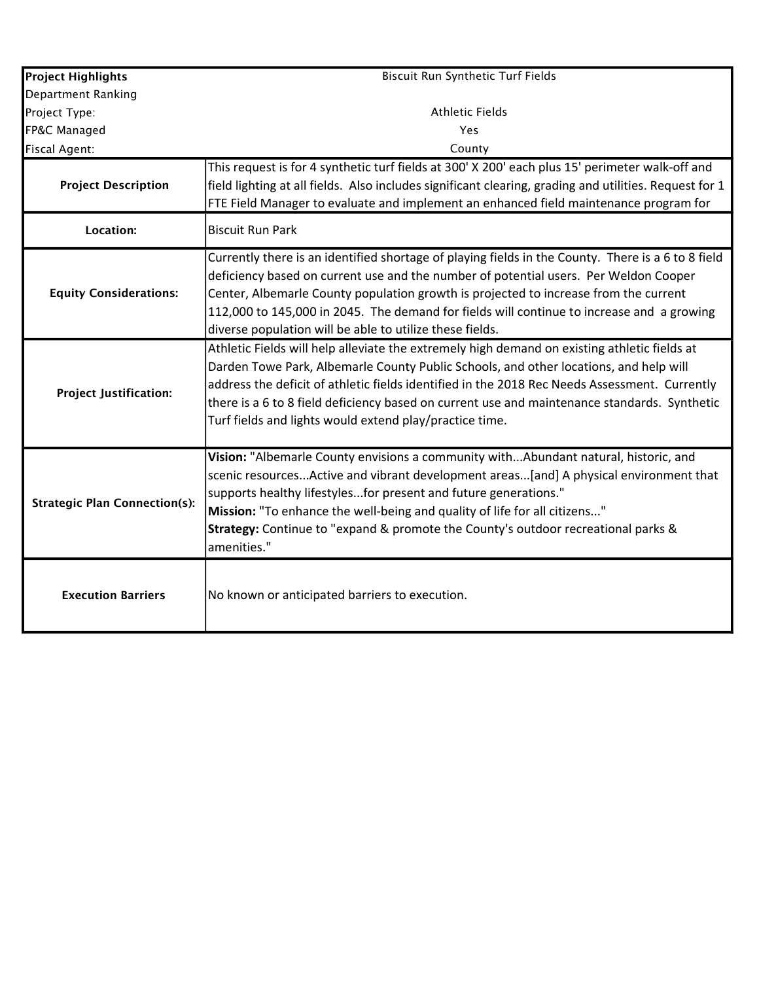| <b>Project Highlights</b>            | <b>Biscuit Run Synthetic Turf Fields</b>                                                                                                                                                                                                                                                                                                                                                                                                          |  |  |  |  |  |  |  |
|--------------------------------------|---------------------------------------------------------------------------------------------------------------------------------------------------------------------------------------------------------------------------------------------------------------------------------------------------------------------------------------------------------------------------------------------------------------------------------------------------|--|--|--|--|--|--|--|
| Department Ranking                   |                                                                                                                                                                                                                                                                                                                                                                                                                                                   |  |  |  |  |  |  |  |
| Project Type:                        | <b>Athletic Fields</b>                                                                                                                                                                                                                                                                                                                                                                                                                            |  |  |  |  |  |  |  |
| FP&C Managed                         | Yes                                                                                                                                                                                                                                                                                                                                                                                                                                               |  |  |  |  |  |  |  |
| Fiscal Agent:                        | County                                                                                                                                                                                                                                                                                                                                                                                                                                            |  |  |  |  |  |  |  |
| <b>Project Description</b>           | This request is for 4 synthetic turf fields at 300' X 200' each plus 15' perimeter walk-off and<br>field lighting at all fields. Also includes significant clearing, grading and utilities. Request for 1<br>FTE Field Manager to evaluate and implement an enhanced field maintenance program for                                                                                                                                                |  |  |  |  |  |  |  |
| <b>Location:</b>                     | <b>Biscuit Run Park</b>                                                                                                                                                                                                                                                                                                                                                                                                                           |  |  |  |  |  |  |  |
| <b>Equity Considerations:</b>        | Currently there is an identified shortage of playing fields in the County. There is a 6 to 8 field<br>deficiency based on current use and the number of potential users. Per Weldon Cooper<br>Center, Albemarle County population growth is projected to increase from the current<br>112,000 to 145,000 in 2045. The demand for fields will continue to increase and a growing<br>diverse population will be able to utilize these fields.       |  |  |  |  |  |  |  |
| <b>Project Justification:</b>        | Athletic Fields will help alleviate the extremely high demand on existing athletic fields at<br>Darden Towe Park, Albemarle County Public Schools, and other locations, and help will<br>address the deficit of athletic fields identified in the 2018 Rec Needs Assessment. Currently<br>there is a 6 to 8 field deficiency based on current use and maintenance standards. Synthetic<br>Turf fields and lights would extend play/practice time. |  |  |  |  |  |  |  |
| <b>Strategic Plan Connection(s):</b> | Vision: "Albemarle County envisions a community withAbundant natural, historic, and<br>scenic resourcesActive and vibrant development areas[and] A physical environment that<br>supports healthy lifestylesfor present and future generations."<br>Mission: "To enhance the well-being and quality of life for all citizens"<br>Strategy: Continue to "expand & promote the County's outdoor recreational parks &<br>amenities."                  |  |  |  |  |  |  |  |
| <b>Execution Barriers</b>            | No known or anticipated barriers to execution.                                                                                                                                                                                                                                                                                                                                                                                                    |  |  |  |  |  |  |  |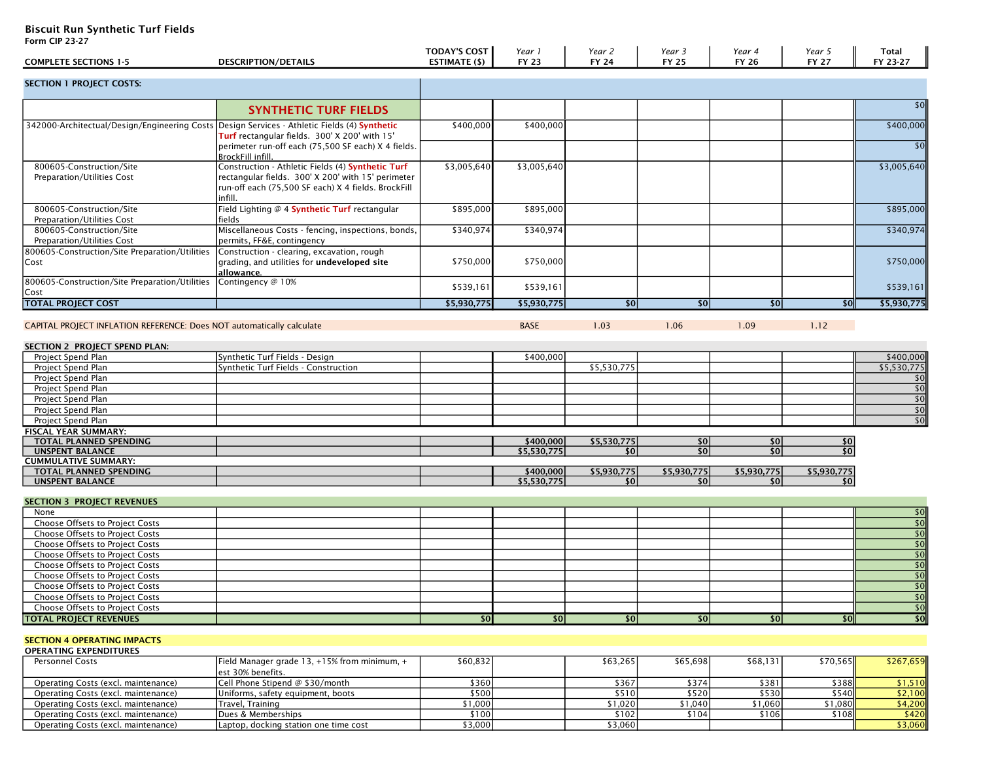Biscuit Run Synthetic Turf Fields

| Form CIP 23-27                                                                               |                                                                                                                                                                           |                                             |                        |                  |                        |                        |                        |                    |
|----------------------------------------------------------------------------------------------|---------------------------------------------------------------------------------------------------------------------------------------------------------------------------|---------------------------------------------|------------------------|------------------|------------------------|------------------------|------------------------|--------------------|
| <b>COMPLETE SECTIONS 1-5</b>                                                                 | <b>DESCRIPTION/DETAILS</b>                                                                                                                                                | <b>TODAY'S COST</b><br><b>ESTIMATE (\$)</b> | Year 1<br><b>FY 23</b> | Year 2<br>FY 24  | Year 3<br><b>FY 25</b> | Year 4<br><b>FY 26</b> | Year 5<br><b>FY 27</b> | Total<br>FY 23-27  |
| <b>SECTION 1 PROJECT COSTS:</b>                                                              |                                                                                                                                                                           |                                             |                        |                  |                        |                        |                        |                    |
|                                                                                              | <b>SYNTHETIC TURF FIELDS</b>                                                                                                                                              |                                             |                        |                  |                        |                        |                        | s                  |
| 342000-Architectual/Design/Engineering Costs Design Services - Athletic Fields (4) Synthetic | Turf rectangular fields. 300' X 200' with 15'                                                                                                                             | \$400,000                                   | \$400,000              |                  |                        |                        |                        | \$400,000          |
|                                                                                              | perimeter run-off each (75,500 SF each) X 4 fields.<br>BrockFill infill.                                                                                                  |                                             |                        |                  |                        |                        |                        | \$0                |
| 800605-Construction/Site<br>Preparation/Utilities Cost                                       | Construction - Athletic Fields (4) Synthetic Turf<br>rectangular fields. 300' X 200' with 15' perimeter<br>run-off each (75,500 SF each) X 4 fields. BrockFill<br>infill. | \$3,005,640                                 | \$3,005,640            |                  |                        |                        |                        | \$3,005,640        |
| 800605-Construction/Site<br>Preparation/Utilities Cost                                       | Field Lighting @ 4 Synthetic Turf rectangular<br>fields                                                                                                                   | \$895,000                                   | \$895,000              |                  |                        |                        |                        | \$895,000          |
| 800605-Construction/Site<br><b>Preparation/Utilities Cost</b>                                | Miscellaneous Costs - fencing, inspections, bonds,<br>permits, FF&E, contingency                                                                                          | \$340,974                                   | \$340,974              |                  |                        |                        |                        | \$340,974          |
| 800605-Construction/Site Preparation/Utilities<br>Cost                                       | Construction - clearing, excavation, rough<br>grading, and utilities for undeveloped site<br>allowance.                                                                   | \$750,000                                   | \$750,000              |                  |                        |                        |                        | \$750,000          |
| 800605-Construction/Site Preparation/Utilities<br>Cost                                       | Contingency @ 10%                                                                                                                                                         | \$539,161                                   | \$539,161              |                  |                        |                        |                        | \$539,161          |
| <b>TOTAL PROJECT COST</b>                                                                    |                                                                                                                                                                           | \$5,930,775                                 | \$5,930,775            | 50               | \$0                    | \$0                    | $\overline{50}$        | \$5,930,775        |
|                                                                                              |                                                                                                                                                                           |                                             |                        |                  |                        |                        |                        |                    |
| CAPITAL PROJECT INFLATION REFERENCE: Does NOT automatically calculate                        |                                                                                                                                                                           |                                             | <b>BASE</b>            | 1.03             | 1.06                   | 1.09                   | 1.12                   |                    |
| SECTION 2 PROJECT SPEND PLAN:                                                                |                                                                                                                                                                           |                                             |                        |                  |                        |                        |                        |                    |
| Project Spend Plan                                                                           | Synthetic Turf Fields - Design                                                                                                                                            |                                             | \$400,000              |                  |                        |                        |                        | \$400,000          |
| Project Spend Plan                                                                           | Synthetic Turf Fields - Construction                                                                                                                                      |                                             |                        | \$5,530,775      |                        |                        |                        | \$5,530,775        |
| Project Spend Plan                                                                           |                                                                                                                                                                           |                                             |                        |                  |                        |                        |                        | \$0                |
| Project Spend Plan                                                                           |                                                                                                                                                                           |                                             |                        |                  |                        |                        |                        | \$0                |
| Project Spend Plan                                                                           |                                                                                                                                                                           |                                             |                        |                  |                        |                        |                        | $\overline{50}$    |
| Project Spend Plan                                                                           |                                                                                                                                                                           |                                             |                        |                  |                        |                        |                        | $\overline{50}$    |
| Project Spend Plan                                                                           |                                                                                                                                                                           |                                             |                        |                  |                        |                        |                        | $\overline{50}$    |
| <b>FISCAL YEAR SUMMARY:</b>                                                                  |                                                                                                                                                                           |                                             |                        |                  |                        |                        |                        |                    |
| TOTAL PLANNED SPENDING                                                                       |                                                                                                                                                                           |                                             | \$400,000              | \$5,530,775      | \$0                    | \$0                    | \$0                    |                    |
| <b>UNSPENT BALANCE</b>                                                                       |                                                                                                                                                                           |                                             | \$5,530,775            | \$0 <sub>1</sub> | \$0                    | \$0                    | \$0                    |                    |
| <b>CUMMULATIVE SUMMARY:</b>                                                                  |                                                                                                                                                                           |                                             |                        |                  |                        |                        |                        |                    |
| TOTAL PLANNED SPENDING                                                                       |                                                                                                                                                                           |                                             | \$400,000              | \$5,930,775      | \$5,930,775            | \$5,930,775            | \$5,930,775            |                    |
| <b>UNSPENT BALANCE</b>                                                                       |                                                                                                                                                                           |                                             | \$5,530,775            | \$0 <sub>1</sub> | \$0                    | \$0                    | \$0                    |                    |
| <b>SECTION 3 PROJECT REVENUES</b>                                                            |                                                                                                                                                                           |                                             |                        |                  |                        |                        |                        |                    |
| None                                                                                         |                                                                                                                                                                           |                                             |                        |                  |                        |                        |                        | \$0<br>\$0         |
| Choose Offsets to Project Costs<br>Choose Offsets to Project Costs                           |                                                                                                                                                                           |                                             |                        |                  |                        |                        |                        | $\overline{50}$    |
| Choose Offsets to Project Costs                                                              |                                                                                                                                                                           |                                             |                        |                  |                        |                        |                        | $\overline{50}$    |
| Choose Offsets to Project Costs                                                              |                                                                                                                                                                           |                                             |                        |                  |                        |                        |                        | \$0                |
| Choose Offsets to Project Costs                                                              |                                                                                                                                                                           |                                             |                        |                  |                        |                        |                        | $\overline{50}$    |
| <b>Choose Offsets to Project Costs</b>                                                       |                                                                                                                                                                           |                                             |                        |                  |                        |                        |                        | $\overline{50}$    |
| Choose Offsets to Project Costs                                                              |                                                                                                                                                                           |                                             |                        |                  |                        |                        |                        | $\overline{50}$    |
| Choose Offsets to Project Costs                                                              |                                                                                                                                                                           |                                             |                        |                  |                        |                        |                        |                    |
| Choose Offsets to Project Costs                                                              |                                                                                                                                                                           |                                             |                        |                  |                        |                        |                        | $\frac{$0] }{$0$}$ |
| <b>TOTAL PROJECT REVENUES</b>                                                                |                                                                                                                                                                           | \$0]                                        | \$0                    | $ 10\rangle$     | 50                     | $ 10\rangle$           | \$0                    | $\overline{50}$    |
|                                                                                              |                                                                                                                                                                           |                                             |                        |                  |                        |                        |                        |                    |
| <b>SECTION 4 OPERATING IMPACTS</b><br><b>OPERATING EXPENDITURES</b>                          |                                                                                                                                                                           |                                             |                        |                  |                        |                        |                        |                    |
| <b>Personnel Costs</b>                                                                       | Field Manager grade 13, +15% from minimum, +<br>est 30% benefits.                                                                                                         | \$60,832                                    |                        | \$63,265         | \$65,698               | \$68,131               | \$70,565               | \$267,659          |
| Operating Costs (excl. maintenance)                                                          | Cell Phone Stipend @ \$30/month                                                                                                                                           | \$360                                       |                        | \$367            | \$374                  | \$381                  | \$388                  | \$1,510            |
| Operating Costs (excl. maintenance)                                                          | Uniforms, safety equipment, boots                                                                                                                                         | \$500                                       |                        | \$510            | \$520                  | \$530                  | \$540                  | \$2,100            |
| Operating Costs (excl. maintenance)                                                          | Travel, Training                                                                                                                                                          | \$1,000                                     |                        | \$1,020          | \$1,040                | \$1,060                | \$1,080                | \$4,200            |
| Operating Costs (excl. maintenance)                                                          | Dues & Memberships                                                                                                                                                        | \$100                                       |                        | \$102            | \$104                  | \$106                  | \$108                  | \$420              |
| Operating Costs (excl. maintenance)                                                          | Laptop, docking station one time cost                                                                                                                                     | \$3,000                                     |                        | \$3,060          |                        |                        |                        | \$3,060            |